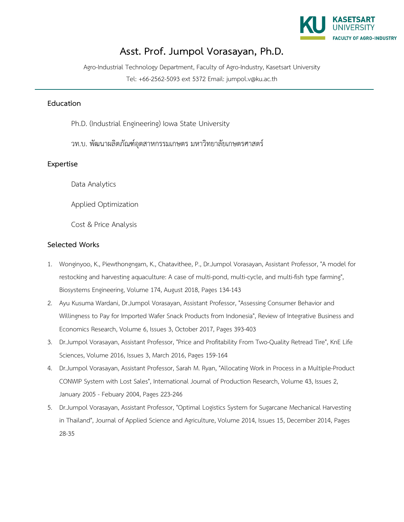

## **Asst. Prof. Jumpol Vorasayan, Ph.D.**

Agro-Industrial Technology Department, Faculty of Agro-Industry, Kasetsart University

Tel: +66-2562-5093 ext 5372 Email: jumpol.v@ku.ac.th

## **Education**

Ph.D. (Industrial Engineering) Iowa State University

วท.บ. พัฒนาผลิตภัณฑอุตสาหกรรมเกษตร มหาวิทยาลัยเกษตรศาสตร

## **Expertise**

Data Analytics

Applied Optimization

Cost & Price Analysis

## **Selected Works**

- 1. Wonginyoo, K., Piewthongngam, K., Chatavithee, P., Dr.Jumpol Vorasayan, Assistant Professor, "A model for restocking and harvesting aquaculture: A case of multi-pond, multi-cycle, and multi-fish type farming", Biosystems Engineering, Volume 174, August 2018, Pages 134-143
- 2. Ayu Kusuma Wardani, Dr.Jumpol Vorasayan, Assistant Professor, "Assessing Consumer Behavior and Willingness to Pay for Imported Wafer Snack Products from Indonesia", Review of Integrative Business and Economics Research, Volume 6, Issues 3, October 2017, Pages 393-403
- 3. Dr.Jumpol Vorasayan, Assistant Professor, "Price and Profitability From Two-Quality Retread Tire", KnE Life Sciences, Volume 2016, Issues 3, March 2016, Pages 159-164
- 4. Dr.Jumpol Vorasayan, Assistant Professor, Sarah M. Ryan, "Allocating Work in Process in a Multiple-Product CONWIP System with Lost Sales", International Journal of Production Research, Volume 43, Issues 2, January 2005 - Febuary 2004, Pages 223-246
- 5. Dr.Jumpol Vorasayan, Assistant Professor, "Optimal Logistics System for Sugarcane Mechanical Harvesting in Thailand", Journal of Applied Science and Agriculture, Volume 2014, Issues 15, December 2014, Pages 28-35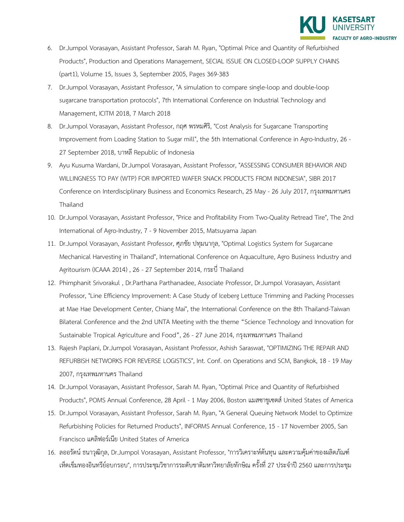

- 6. Dr.Jumpol Vorasayan, Assistant Professor, Sarah M. Ryan, "Optimal Price and Quantity of Refurbished Products", Production and Operations Management, SECIAL ISSUE ON CLOSED-LOOP SUPPLY CHAINS (part1), Volume 15, Issues 3, September 2005, Pages 369-383
- 7. Dr.Jumpol Vorasayan, Assistant Professor, "A simulation to compare single-loop and double-loop sugarcane transportation protocols", 7th International Conference on Industrial Technology and Management, ICITM 2018, 7 March 2018
- 8. Dr.Jumpol Vorasayan, Assistant Professor, กฤศ พรหมศิริ, "Cost Analysis for Sugarcane Transporting Improvement from Loading Station to Sugar mill", the 5th International Conference in Agro-Industry, 26 - 27 September 2018, บาหลี Republic of Indonesia
- 9. Ayu Kusuma Wardani, Dr.Jumpol Vorasayan, Assistant Professor, "ASSESSING CONSUMER BEHAVIOR AND WILLINGNESS TO PAY (WTP) FOR IMPORTED WAFER SNACK PRODUCTS FROM INDONESIA", SIBR 2017 Conference on Interdisciplinary Business and Economics Research, 25 May - 26 July 2017, กรุงเทพมหานคร Thailand
- 10. Dr.Jumpol Vorasayan, Assistant Professor, "Price and Profitability From Two-Quality Retread Tire", The 2nd International of Agro-Industry, 7 - 9 November 2015, Matsuyama Japan
- 11. Dr.Jumpol Vorasayan, Assistant Professor, ศุภชัย ปทุมนากุล, "Optimal Logistics System for Sugarcane Mechanical Harvesting in Thailand", International Conference on Aquaculture, Agro Business Industry and Agritourism (ICAAA 2014) , 26 - 27 September 2014, กระบี่ Thailand
- 12. Phimphanit Srivorakul , Dr.Parthana Parthanadee, Associate Professor, Dr.Jumpol Vorasayan, Assistant Professor, "Line Efficiency Improvement: A Case Study of Iceberg Lettuce Trimming and Packing Processes at Mae Hae Development Center, Chiang Mai", the International Conference on the 8th Thailand-Taiwan Bilateral Conference and the 2nd UNTA Meeting with the theme "Science Technology and Innovation for Sustainable Tropical Agriculture and Food", 26 - 27 June 2014, กรุงเทพมหานคร Thailand
- 13. Rajesh Paplani, Dr.Jumpol Vorasayan, Assistant Professor, Ashish Saraswat, "OPTIMIZING THE REPAIR AND REFURBISH NETWORKS FOR REVERSE LOGISTICS", Int. Conf. on Operations and SCM, Bangkok, 18 - 19 May 2007, กรุงเทพมหานคร Thailand
- 14. Dr.Jumpol Vorasayan, Assistant Professor, Sarah M. Ryan, "Optimal Price and Quantity of Refurbished Products", POMS Annual Conference, 28 April - 1 May 2006, Boston แมสซาชูเซตส United States of America
- 15. Dr.Jumpol Vorasayan, Assistant Professor, Sarah M. Ryan, "A General Queuing Network Model to Optimize Refurbishing Policies for Returned Products", INFORMS Annual Conference, 15 - 17 November 2005, San Francisco แคลิฟอรเนีย United States of America
- 16. ลออรัตน์ ธนาวุฒิกุล, Dr.Jumpol Vorasayan, Assistant Professor, "การวิเคราะห์ต้นทุน และความคุ้มค่าของผลิตภัณฑ์ เห็ดเข็มทองอินทรียอบกรอบ", การประชุมวิชาการระดับชาติมหาวิทยาลัยทักษิณ ครั้งที่ 27 ประจำป 2560 และการประชุม